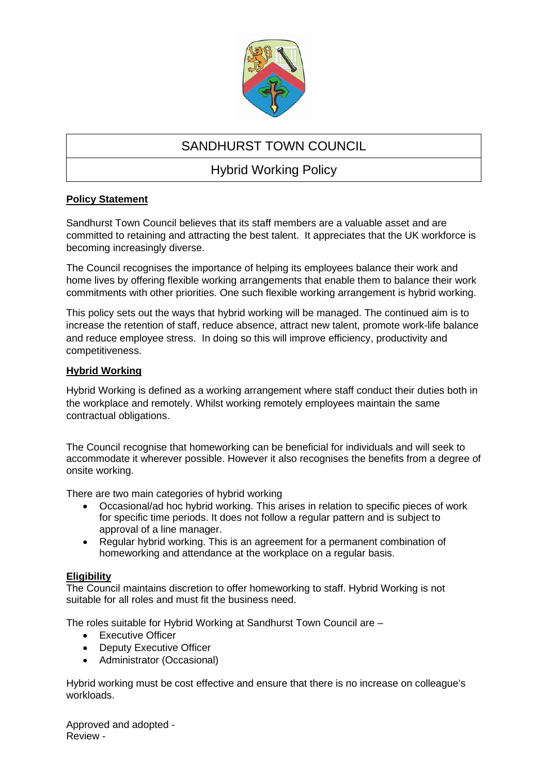

# SANDHURST TOWN COUNCIL

# Hybrid Working Policy

## **Policy Statement**

Sandhurst Town Council believes that its staff members are a valuable asset and are committed to retaining and attracting the best talent. It appreciates that the UK workforce is becoming increasingly diverse.

The Council recognises the importance of helping its employees balance their work and home lives by offering flexible working arrangements that enable them to balance their work commitments with other priorities. One such flexible working arrangement is hybrid working.

This policy sets out the ways that hybrid working will be managed. The continued aim is to increase the retention of staff, reduce absence, attract new talent, promote work-life balance and reduce employee stress. In doing so this will improve efficiency, productivity and competitiveness.

### **Hybrid Working**

Hybrid Working is defined as a working arrangement where staff conduct their duties both in the workplace and remotely. Whilst working remotely employees maintain the same contractual obligations.

The Council recognise that homeworking can be beneficial for individuals and will seek to accommodate it wherever possible. However it also recognises the benefits from a degree of onsite working.

There are two main categories of hybrid working

- Occasional/ad hoc hybrid working. This arises in relation to specific pieces of work for specific time periods. It does not follow a regular pattern and is subject to approval of a line manager.
- Regular hybrid working. This is an agreement for a permanent combination of homeworking and attendance at the workplace on a regular basis.

#### **Eligibility**

The Council maintains discretion to offer homeworking to staff. Hybrid Working is not suitable for all roles and must fit the business need.

The roles suitable for Hybrid Working at Sandhurst Town Council are –

- Executive Officer
- Deputy Executive Officer
- Administrator (Occasional)

Hybrid working must be cost effective and ensure that there is no increase on colleague's workloads.

Approved and adopted - Review -